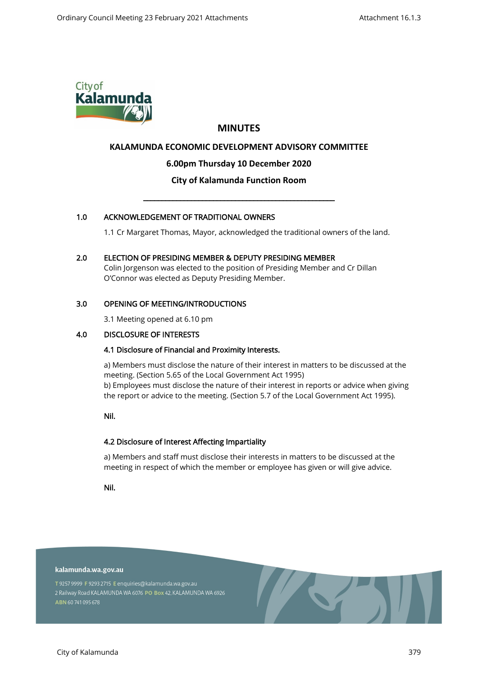

# **MINUTES**

# **KALAMUNDA ECONOMIC DEVELOPMENT ADVISORY COMMITTEE**

# **6.00pm Thursday 10 December 2020**

# **City of Kalamunda Function Room**

\_\_\_\_\_\_\_\_\_\_\_\_\_\_\_\_\_\_\_\_\_\_\_\_\_\_\_\_\_\_\_\_\_\_\_\_\_\_\_\_\_\_\_\_\_\_\_\_\_\_\_\_

# 1.0 ACKNOWLEDGEMENT OF TRADITIONAL OWNERS

1.1 Cr Margaret Thomas, Mayor, acknowledged the traditional owners of the land.

# 2.0 ELECTION OF PRESIDING MEMBER & DEPUTY PRESIDING MEMBER

Colin Jorgenson was elected to the position of Presiding Member and Cr Dillan O'Connor was elected as Deputy Presiding Member.

## 3.0 OPENING OF MEETING/INTRODUCTIONS

3.1 Meeting opened at 6.10 pm

## 4.0 DISCLOSURE OF INTERESTS

## 4.1 Disclosure of Financial and Proximity Interests.

a) Members must disclose the nature of their interest in matters to be discussed at the meeting. (Section 5.65 of the Local Government Act 1995) b) Employees must disclose the nature of their interest in reports or advice when giving the report or advice to the meeting. (Section 5.7 of the Local Government Act 1995).

Nil.

## 4.2 Disclosure of Interest Affecting Impartiality

a) Members and staff must disclose their interests in matters to be discussed at the meeting in respect of which the member or employee has given or will give advice.

Nil.

#### kalamunda.wa.gov.au

T 9257 9999 F 9293 2715 E enquiries@kalamunda.wa.gov.au 2 Railway Road KALAMUNDA WA 6076 PO Box 42, KALAMUNDA WA 6926 ABN 60741095678

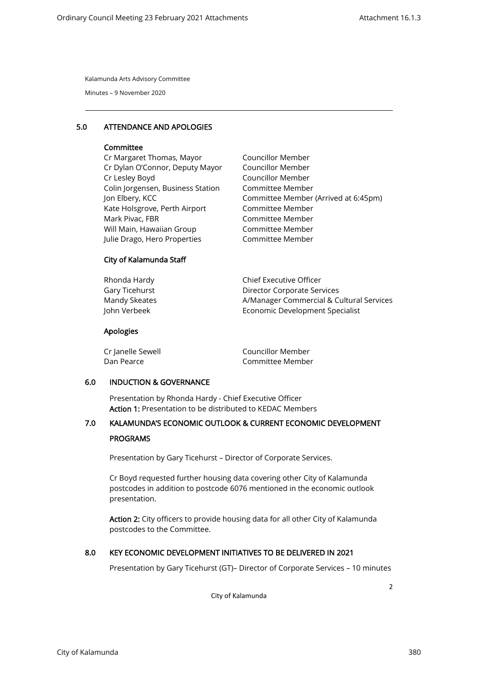Minutes – 9 November 2020

## 5.0 ATTENDANCE AND APOLOGIES

#### **Committee**

Cr Margaret Thomas, Mayor Cr Dylan O'Connor, Deputy Mayor Cr Lesley Boyd Colin Jorgensen, Business Station Jon Elbery, KCC Kate Holsgrove, Perth Airport Mark Pivac, FBR Will Main, Hawaiian Group Julie Drago, Hero Properties Councillor Member Councillor Member Councillor Member Committee Member Committee Member (Arrived at 6:45pm) Committee Member Committee Member Committee Member Committee Member

## City of Kalamunda Staff

| Chief Executive Officer                  |
|------------------------------------------|
| Director Corporate Services              |
| A/Manager Commercial & Cultural Services |
| Economic Development Specialist          |
|                                          |

#### Apologies

| Cr Janelle Sewell | Councillor Member |
|-------------------|-------------------|
| Dan Pearce        | Committee Member  |

#### 6.0 INDUCTION & GOVERNANCE

Presentation by Rhonda Hardy - Chief Executive Officer Action 1: Presentation to be distributed to KEDAC Members

# 7.0 KALAMUNDA'S ECONOMIC OUTLOOK & CURRENT ECONOMIC DEVELOPMENT

#### PROGRAMS

Presentation by Gary Ticehurst – Director of Corporate Services.

Cr Boyd requested further housing data covering other City of Kalamunda postcodes in addition to postcode 6076 mentioned in the economic outlook presentation.

Action 2: City officers to provide housing data for all other City of Kalamunda postcodes to the Committee.

## 8.0 KEY ECONOMIC DEVELOPMENT INITIATIVES TO BE DELIVERED IN 2021

Presentation by Gary Ticehurst (GT)– Director of Corporate Services – 10 minutes

City of Kalamunda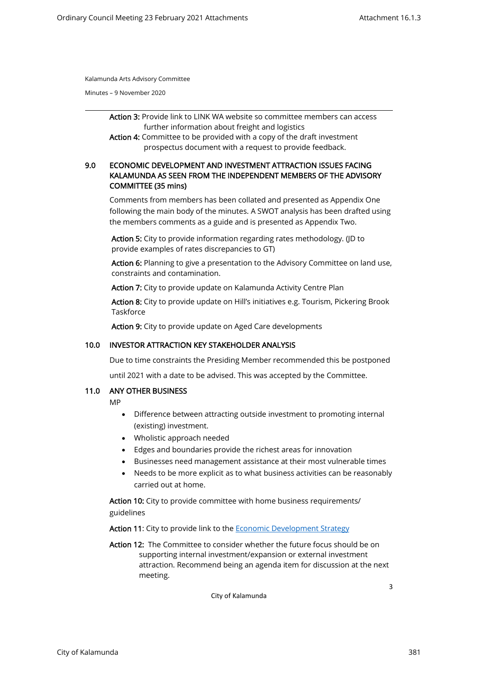Minutes – 9 November 2020

Action 3: Provide link to LINK WA website so committee members can access further information about freight and logistics

Action 4: Committee to be provided with a copy of the draft investment prospectus document with a request to provide feedback.

# 9.0 ECONOMIC DEVELOPMENT AND INVESTMENT ATTRACTION ISSUES FACING KALAMUNDA AS SEEN FROM THE INDEPENDENT MEMBERS OF THE ADVISORY COMMITTEE (35 mins)

Comments from members has been collated and presented as Appendix One following the main body of the minutes. A SWOT analysis has been drafted using the members comments as a guide and is presented as Appendix Two.

Action 5: City to provide information regarding rates methodology. (JD to provide examples of rates discrepancies to GT)

Action 6: Planning to give a presentation to the Advisory Committee on land use, constraints and contamination.

Action 7: City to provide update on Kalamunda Activity Centre Plan

Action 8: City to provide update on Hill's initiatives e.g. Tourism, Pickering Brook **Taskforce** 

Action 9: City to provide update on Aged Care developments

#### 10.0 INVESTOR ATTRACTION KEY STAKEHOLDER ANALYSIS

Due to time constraints the Presiding Member recommended this be postponed

until 2021 with a date to be advised. This was accepted by the Committee.

#### 11.0 ANY OTHER BUSINESS

MP

- Difference between attracting outside investment to promoting internal (existing) investment.
- Wholistic approach needed
- Edges and boundaries provide the richest areas for innovation
- Businesses need management assistance at their most vulnerable times
- Needs to be more explicit as to what business activities can be reasonably carried out at home.

Action 10: City to provide committee with home business requirements/ guidelines

Action 11: City to provide link to the [Economic Development Strategy](https://kalblob.blob.core.windows.net/kallibrary/docs/default-source/strategies-plans/cityofkalamunda_economicdevelopmentstrategy_2018.pdf?sfvrsn=8d20b0bb_4)

Action 12: The Committee to consider whether the future focus should be on supporting internal investment/expansion or external investment attraction. Recommend being an agenda item for discussion at the next meeting.

City of Kalamunda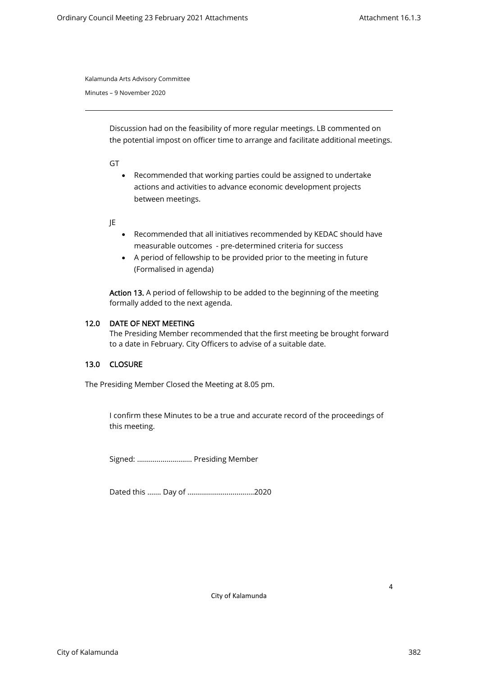Minutes – 9 November 2020

Discussion had on the feasibility of more regular meetings. LB commented on the potential impost on officer time to arrange and facilitate additional meetings.

GT

• Recommended that working parties could be assigned to undertake actions and activities to advance economic development projects between meetings.

JE

- Recommended that all initiatives recommended by KEDAC should have measurable outcomes - pre-determined criteria for success
- A period of fellowship to be provided prior to the meeting in future (Formalised in agenda)

Action 13. A period of fellowship to be added to the beginning of the meeting formally added to the next agenda.

### 12.0 DATE OF NEXT MEETING

The Presiding Member recommended that the first meeting be brought forward to a date in February. City Officers to advise of a suitable date.

## 13.0 CLOSURE

The Presiding Member Closed the Meeting at 8.05 pm.

I confirm these Minutes to be a true and accurate record of the proceedings of this meeting.

Signed: …………………….… Presiding Member

Dated this ……. Day of …………………………….2020

City of Kalamunda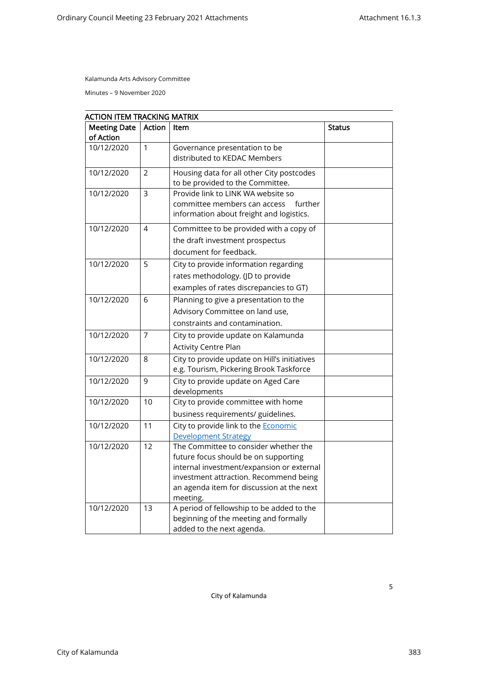Minutes – 9 November 2020

| <b>Meeting Date</b> | Action         | Item                                                                                | <b>Status</b> |
|---------------------|----------------|-------------------------------------------------------------------------------------|---------------|
| of Action           |                |                                                                                     |               |
| 10/12/2020          | $\mathbf{1}$   | Governance presentation to be                                                       |               |
|                     |                | distributed to KEDAC Members                                                        |               |
| 10/12/2020          | $\overline{2}$ | Housing data for all other City postcodes                                           |               |
|                     |                | to be provided to the Committee.                                                    |               |
| 10/12/2020          | 3              | Provide link to LINK WA website so                                                  |               |
|                     |                | committee members can access<br>further                                             |               |
|                     |                | information about freight and logistics.                                            |               |
| 10/12/2020          | 4              | Committee to be provided with a copy of                                             |               |
|                     |                | the draft investment prospectus                                                     |               |
|                     |                | document for feedback.                                                              |               |
| 10/12/2020          | 5              | City to provide information regarding                                               |               |
|                     |                | rates methodology. (JD to provide                                                   |               |
|                     |                | examples of rates discrepancies to GT)                                              |               |
| 10/12/2020          | 6              | Planning to give a presentation to the                                              |               |
|                     |                | Advisory Committee on land use,                                                     |               |
|                     |                | constraints and contamination.                                                      |               |
| 10/12/2020          | $\overline{7}$ | City to provide update on Kalamunda                                                 |               |
|                     |                | <b>Activity Centre Plan</b>                                                         |               |
| 10/12/2020          | 8              | City to provide update on Hill's initiatives                                        |               |
|                     |                | e.g. Tourism, Pickering Brook Taskforce                                             |               |
| 10/12/2020          | 9              | City to provide update on Aged Care                                                 |               |
|                     |                | developments                                                                        |               |
| 10/12/2020          | 10             | City to provide committee with home                                                 |               |
|                     |                | business requirements/ guidelines.                                                  |               |
| 10/12/2020          | 11             | City to provide link to the <b>Economic</b>                                         |               |
|                     |                | <b>Development Strategy</b>                                                         |               |
| 10/12/2020          | 12             | The Committee to consider whether the                                               |               |
|                     |                | future focus should be on supporting                                                |               |
|                     |                | internal investment/expansion or external<br>investment attraction. Recommend being |               |
|                     |                | an agenda item for discussion at the next                                           |               |
|                     |                | meeting.                                                                            |               |
| 10/12/2020          | 13             | A period of fellowship to be added to the                                           |               |
|                     |                | beginning of the meeting and formally                                               |               |
|                     |                | added to the next agenda.                                                           |               |

City of Kalamunda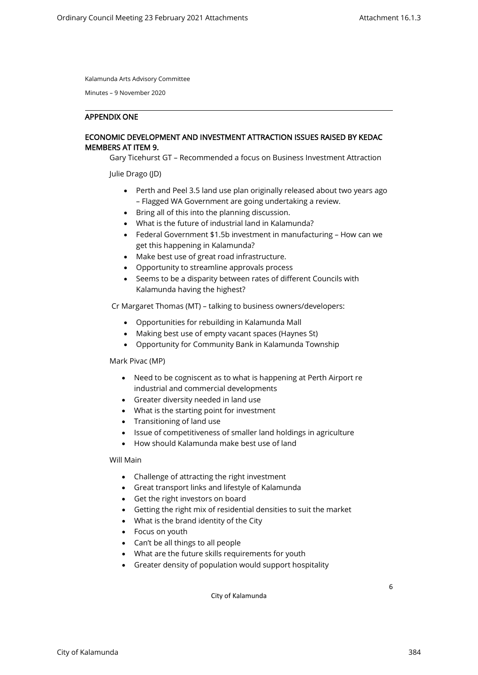Minutes – 9 November 2020

#### APPENDIX ONE

## ECONOMIC DEVELOPMENT AND INVESTMENT ATTRACTION ISSUES RAISED BY KEDAC MEMBERS AT ITEM 9.

Gary Ticehurst GT – Recommended a focus on Business Investment Attraction

Julie Drago (JD)

- Perth and Peel 3.5 land use plan originally released about two years ago – Flagged WA Government are going undertaking a review.
- Bring all of this into the planning discussion.
- What is the future of industrial land in Kalamunda?
- Federal Government \$1.5b investment in manufacturing How can we get this happening in Kalamunda?
- Make best use of great road infrastructure.
- Opportunity to streamline approvals process
- Seems to be a disparity between rates of different Councils with Kalamunda having the highest?

Cr Margaret Thomas (MT) – talking to business owners/developers:

- Opportunities for rebuilding in Kalamunda Mall
- Making best use of empty vacant spaces (Haynes St)
- Opportunity for Community Bank in Kalamunda Township

Mark Pivac (MP)

- Need to be cogniscent as to what is happening at Perth Airport re industrial and commercial developments
- Greater diversity needed in land use
- What is the starting point for investment
- Transitioning of land use
- Issue of competitiveness of smaller land holdings in agriculture
- How should Kalamunda make best use of land

Will Main

- Challenge of attracting the right investment
- Great transport links and lifestyle of Kalamunda
- Get the right investors on board
- Getting the right mix of residential densities to suit the market
- What is the brand identity of the City
- Focus on youth
- Can't be all things to all people
- What are the future skills requirements for youth
- Greater density of population would support hospitality

City of Kalamunda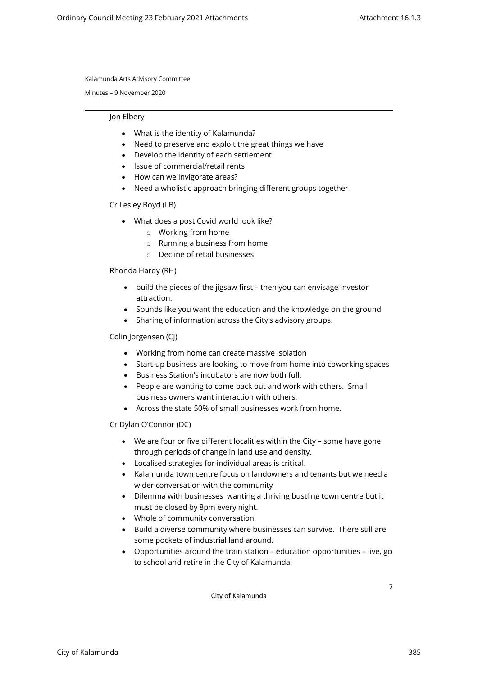Minutes – 9 November 2020

#### Jon Elbery

- What is the identity of Kalamunda?
- Need to preserve and exploit the great things we have
- Develop the identity of each settlement
- Issue of commercial/retail rents
- How can we invigorate areas?
- Need a wholistic approach bringing different groups together

### Cr Lesley Boyd (LB)

- What does a post Covid world look like?
	- o Working from home
	- o Running a business from home
	- o Decline of retail businesses

### Rhonda Hardy (RH)

- build the pieces of the jigsaw first then you can envisage investor attraction.
- Sounds like you want the education and the knowledge on the ground
- Sharing of information across the City's advisory groups.

### Colin Jorgensen (CJ)

- Working from home can create massive isolation
- Start-up business are looking to move from home into coworking spaces
- Business Station's incubators are now both full.
- People are wanting to come back out and work with others. Small business owners want interaction with others.
- Across the state 50% of small businesses work from home.

#### Cr Dylan O'Connor (DC)

- We are four or five different localities within the City some have gone through periods of change in land use and density.
- Localised strategies for individual areas is critical.
- Kalamunda town centre focus on landowners and tenants but we need a wider conversation with the community
- Dilemma with businesses wanting a thriving bustling town centre but it must be closed by 8pm every night.
- Whole of community conversation.
- Build a diverse community where businesses can survive. There still are some pockets of industrial land around.
- Opportunities around the train station education opportunities live, go to school and retire in the City of Kalamunda.

City of Kalamunda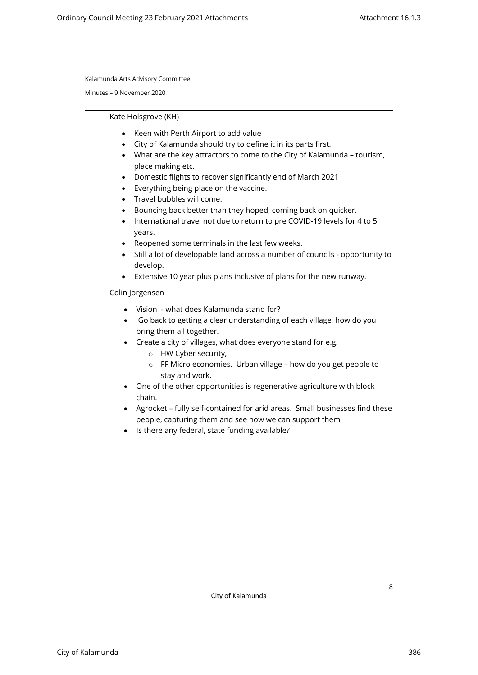Minutes – 9 November 2020

Kate Holsgrove (KH)

- Keen with Perth Airport to add value
- City of Kalamunda should try to define it in its parts first.
- What are the key attractors to come to the City of Kalamunda tourism, place making etc.
- Domestic flights to recover significantly end of March 2021
- Everything being place on the vaccine.
- Travel bubbles will come.
- Bouncing back better than they hoped, coming back on quicker.
- International travel not due to return to pre COVID-19 levels for 4 to 5 years.
- Reopened some terminals in the last few weeks.
- Still a lot of developable land across a number of councils opportunity to develop.
- Extensive 10 year plus plans inclusive of plans for the new runway.

Colin Jorgensen

- Vision what does Kalamunda stand for?
- Go back to getting a clear understanding of each village, how do you bring them all together.
- Create a city of villages, what does everyone stand for e.g.
	- o HW Cyber security,
	- o FF Micro economies. Urban village how do you get people to stay and work.
- One of the other opportunities is regenerative agriculture with block chain.
- Agrocket fully self-contained for arid areas. Small businesses find these people, capturing them and see how we can support them
- Is there any federal, state funding available?

City of Kalamunda